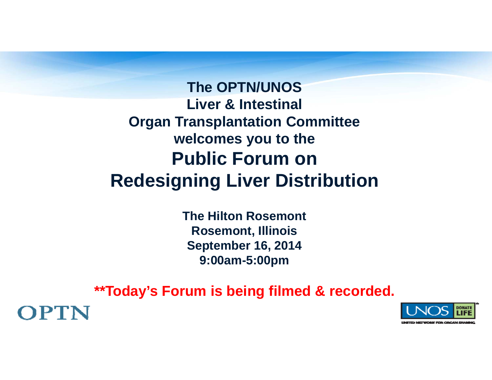**The OPTN/UNOSLiver & Intestinal Organ Transplantation Committee welcomes you to the Public Forum on Redesigning Liver Distribution**

> **The Hilton RosemontRosemont, Illinois September 16, 2014 9:00am-5:00pm**

**\*\*Today's Forum is being filmed & recorded.** 



OPTN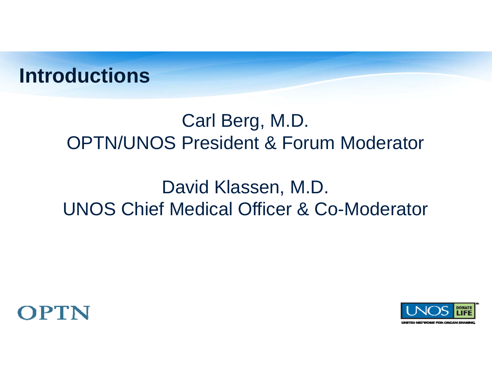#### **Introductions**

#### Carl Berg, M.D. OPTN/UNOS President & Forum Moderator

#### David Klassen, M.D. UNOS Chief Medical Officer & Co-Moderator



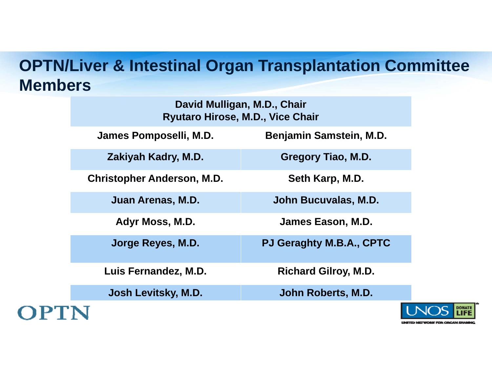#### **OPTN/Liver & Intestinal Organ Transplantation Committee Members**

**David Mulligan, M.D., Chair Ryutaro Hirose, M.D., Vice Chair**

**James Pomposelli, M.D. Benjamin Samstein, M.D.**

**Zakiyah Kadry, M.D. Gregory Tiao, M.D.**

**Christopher Anderson, M.D. Seth Karp, M.D.**

**Luis Fernandez, M.D. Richard Gilroy, M.D.**

**Josh Levitsky, M.D. John Roberts, M.D.**

OPTN



**Juan Arenas, M.D. John Bucuvalas, M.D.**

**Adyr Moss, M.D. James Eason, M.D.**

**Jorge Reyes, M.D. PJ Geraghty M.B.A., CPTC**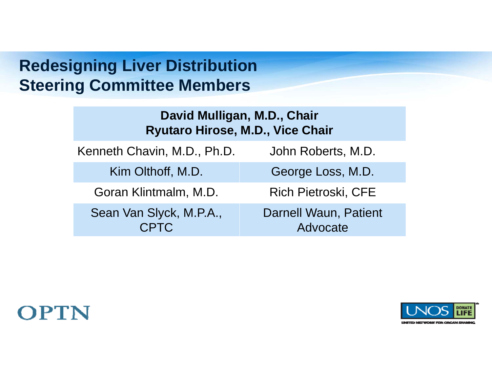#### **Redesigning Liver Distribution Steering Committee Members**

#### **David Mulligan, M.D., Chair Ryutaro Hirose, M.D., Vice Chair**

Kenneth Chavin, M.D., Ph.D. John Roberts, M.D.

Goran Klintmalm, M.D. Rich Pietroski, CFE

Sean Van Slyck, M.P.A., CPTC

Kim Olthoff, M.D. **George Loss, M.D.** 

Darnell Waun, Patient Advocate



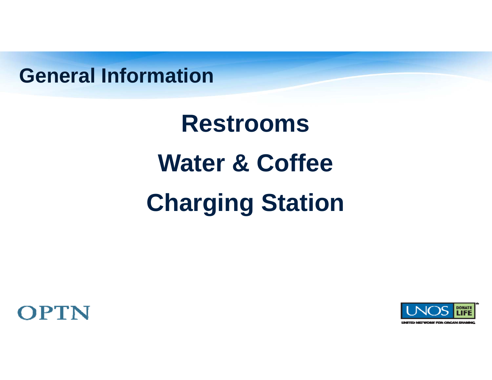#### **General Information**

# **RestroomsWater & Coffee Charging Station**



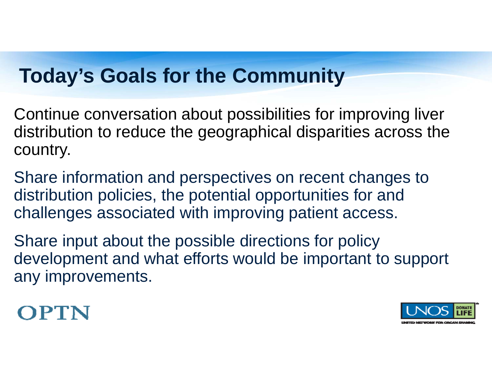# **Today's Goals for the Community**

Continue conversation about possibilities for improving liver distribution to reduce the geographical disparities across the country.

Share information and perspectives on recent changes to distribution policies, the potential opportunities for and challenges associated with improving patient access.

Share input about the possible directions for policy development and what efforts would be important to support any improvements.

#### OPTN

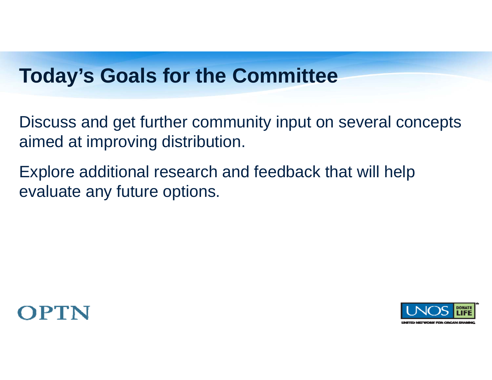## **Today's Goals for the Committee**

Discuss and get further community input on several concepts aimed at improving distribution.

Explore additional research and feedback that will help evaluate any future options.



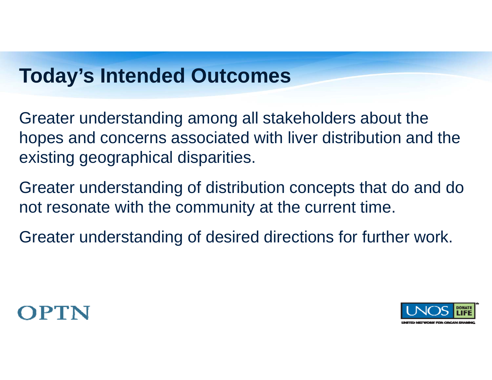#### **Today's Intended Outcomes**

Greater understanding among all stakeholders about the hopes and concerns associated with liver distribution and the existing geographical disparities.

Greater understanding of distribution concepts that do and do not resonate with the community at the current time.

Greater understanding of desired directions for further work.



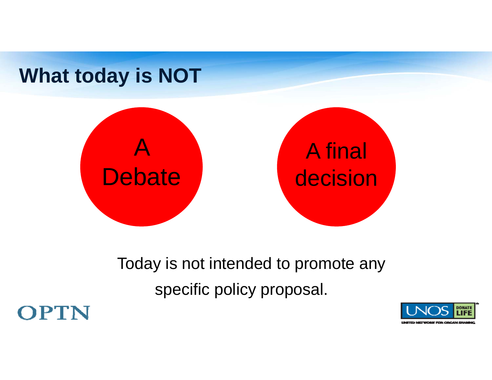





Today is not intended to promote any specific policy proposal.



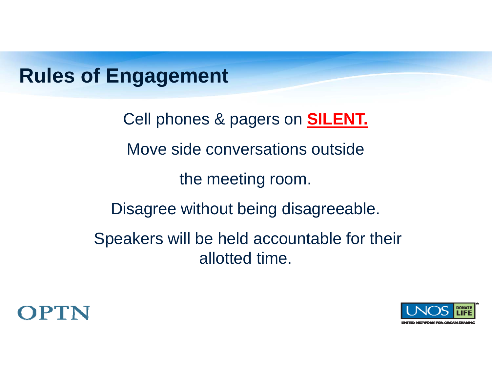#### **Rules of Engagement**

Cell phones & pagers on **SILENT.** Move side conversations outside the meeting room. Disagree without being disagreeable. Speakers will be held accountable for their allotted time.



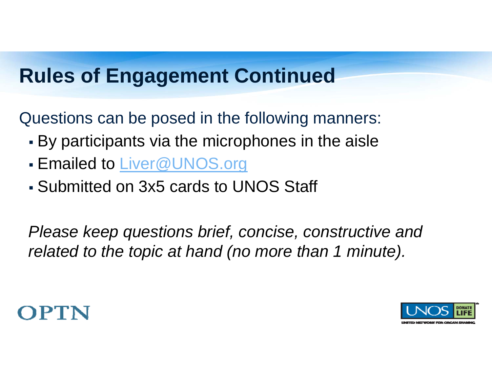## **Rules of Engagement Continued**

Questions can be posed in the following manners:

- Г By participants via the microphones in the aisle
- П **Emailed to Liver@UNOS.org**
- Submitted on 3x5 cards to UNOS Staff

*Please keep questions brief, concise, constructive and related to the topic at hand (no more than 1 minute).*



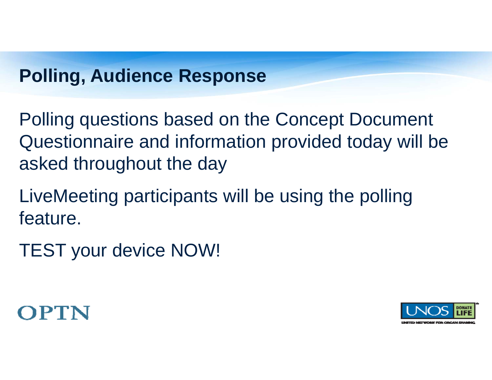#### **Polling, Audience Response**

Polling questions based on the Concept Document Questionnaire and information provided today will be asked throughout the day

LiveMeeting participants will be using the polling feature.

TEST your device NOW!



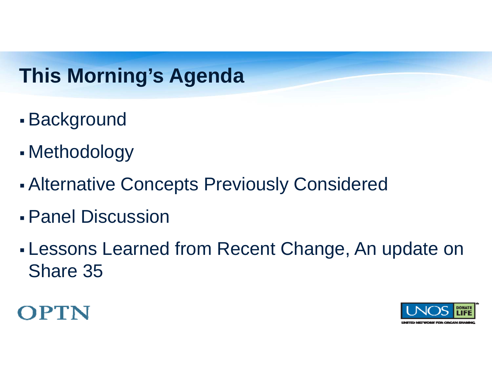# **This Morning's Agenda**

- $\mathcal{L}(\mathcal{L})$ Background
- $\mathcal{L}(\mathcal{L})$ Methodology
- $\mathcal{L}(\mathcal{L})$ Alternative Concepts Previously Considered
- Panel Discussion
- $\mathcal{L}(\mathcal{L})$  Lessons Learned from Recent Change, An update on Share 35



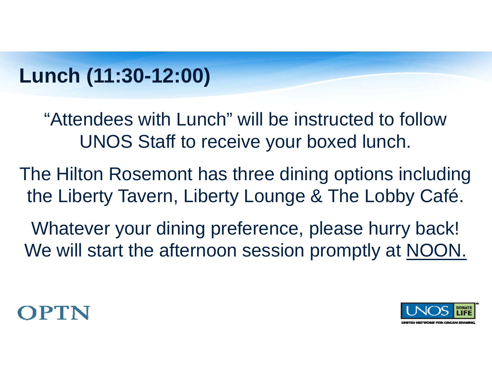# **Lunch (11:30-12:00)**

"Attendees with Lunch" will be instructed to follow UNOS Staff to receive your boxed lunch.

The Hilton Rosemont has three dining options including the Liberty Tavern, Liberty Lounge & The Lobby Café.

Whatever your dining preference, please hurry back! We will start the afternoon session promptly at NOON.



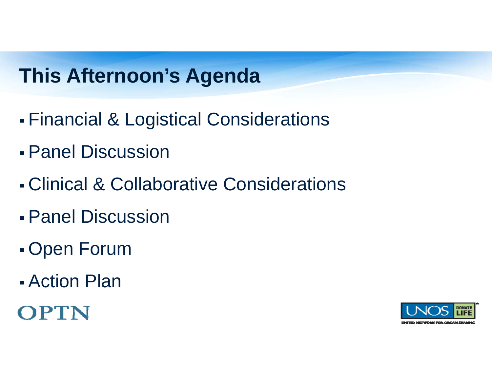# **This Afternoon's Agenda**

- $\mathcal{L}(\mathcal{L})$ Financial & Logistical Considerations
- Panel Discussion
- Clinical & Collaborative Considerations
- Panel Discussion
- $\mathcal{L}(\mathcal{L})$ Open Forum
- Action Plan